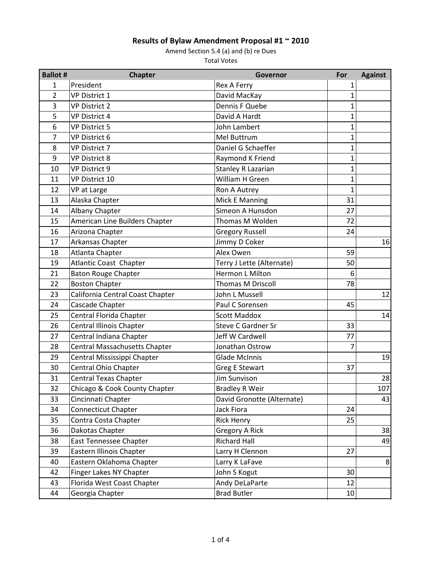| <b>Ballot #</b> | <b>Chapter</b>                       | Governor                   | For            | <b>Against</b> |
|-----------------|--------------------------------------|----------------------------|----------------|----------------|
| 1               | President                            | <b>Rex A Ferry</b>         | 1              |                |
| $\overline{2}$  | <b>VP District 1</b>                 | David MacKay               | 1              |                |
| 3               | <b>VP District 2</b>                 | Dennis F Quebe             | 1              |                |
| 5               | <b>VP District 4</b>                 | David A Hardt              | $\overline{1}$ |                |
| 6               | <b>VP District 5</b>                 | John Lambert               | $\overline{1}$ |                |
| $\overline{7}$  | VP District 6                        | Mel Buttrum                | $\overline{1}$ |                |
| 8               | VP District 7                        | Daniel G Schaeffer         | $\overline{1}$ |                |
| 9               | <b>VP District 8</b>                 | Raymond K Friend           | $\mathbf 1$    |                |
| 10              | <b>VP District 9</b>                 | Stanley R Lazarian         | $\mathbf{1}$   |                |
| 11              | VP District 10                       | William H Green            | $\mathbf{1}$   |                |
| 12              | VP at Large                          | Ron A Autrey               | $\overline{1}$ |                |
| 13              | Alaska Chapter                       | Mick E Manning             | 31             |                |
| 14              | Albany Chapter                       | Simeon A Hunsdon           | 27             |                |
| 15              | American Line Builders Chapter       | Thomas M Wolden            | 72             |                |
| 16              | Arizona Chapter                      | <b>Gregory Russell</b>     | 24             |                |
| 17              | Arkansas Chapter                     | Jimmy D Coker              |                | 16             |
| 18              | Atlanta Chapter                      | Alex Owen                  | 59             |                |
| 19              | <b>Atlantic Coast Chapter</b>        | Terry J Lette (Alternate)  | 50             |                |
| 21              | <b>Baton Rouge Chapter</b>           | Hermon L Milton            | 6              |                |
| 22              | <b>Boston Chapter</b>                | <b>Thomas M Driscoll</b>   | 78             |                |
| 23              | California Central Coast Chapter     | John L Mussell             |                | 12             |
| 24              | Cascade Chapter                      | Paul C Sorensen            | 45             |                |
| 25              | Central Florida Chapter              | <b>Scott Maddox</b>        |                | 14             |
| 26              | <b>Central Illinois Chapter</b>      | <b>Steve C Gardner Sr</b>  | 33             |                |
| 27              | Central Indiana Chapter              | Jeff W Cardwell            | 77             |                |
| 28              | <b>Central Massachusetts Chapter</b> | Jonathan Ostrow            | 7              |                |
| 29              | Central Mississippi Chapter          | <b>Glade McInnis</b>       |                | 19             |
| 30              | Central Ohio Chapter                 | <b>Greg E Stewart</b>      | 37             |                |
| 31              | <b>Central Texas Chapter</b>         | Jim Sunvison               |                | 28             |
| 32              | Chicago & Cook County Chapter        | <b>Bradley R Weir</b>      |                | 107            |
| 33              | Cincinnati Chapter                   | David Gronotte (Alternate) |                | 43             |
| 34              | Connecticut Chapter                  | Jack Fiora                 | 24             |                |
| 35              | Contra Costa Chapter                 | <b>Rick Henry</b>          | 25             |                |
| 36              | Dakotas Chapter                      | <b>Gregory A Rick</b>      |                | 38             |
| 38              | <b>East Tennessee Chapter</b>        | <b>Richard Hall</b>        |                | 49             |
| 39              | Eastern Illinois Chapter             | Larry H Clennon            | 27             |                |
| 40              | Eastern Oklahoma Chapter             | Larry K LaFave             |                | 8              |
| 42              | Finger Lakes NY Chapter              | John S Kogut               | 30             |                |
| 43              | Florida West Coast Chapter           | Andy DeLaParte             | 12             |                |
| 44              | Georgia Chapter                      | <b>Brad Butler</b>         | 10             |                |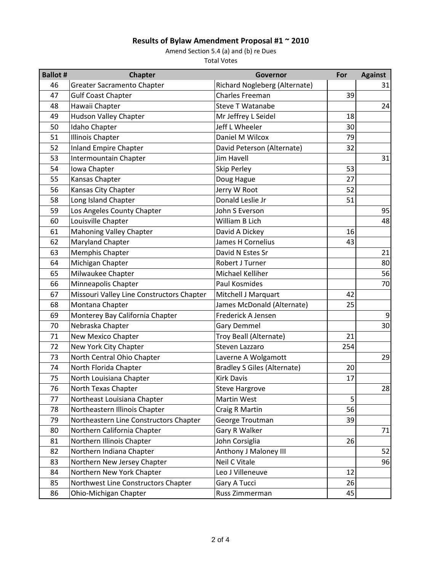| <b>Ballot #</b> | <b>Chapter</b>                            | Governor                           | For | <b>Against</b> |
|-----------------|-------------------------------------------|------------------------------------|-----|----------------|
| 46              | <b>Greater Sacramento Chapter</b>         | Richard Nogleberg (Alternate)      |     | 31             |
| 47              | <b>Gulf Coast Chapter</b>                 | Charles Freeman                    | 39  |                |
| 48              | Hawaii Chapter                            | <b>Steve T Watanabe</b>            |     | 24             |
| 49              | <b>Hudson Valley Chapter</b>              | Mr Jeffrey L Seidel                | 18  |                |
| 50              | Idaho Chapter                             | Jeff L Wheeler                     | 30  |                |
| 51              | <b>Illinois Chapter</b>                   | Daniel M Wilcox                    | 79  |                |
| 52              | <b>Inland Empire Chapter</b>              | David Peterson (Alternate)         | 32  |                |
| 53              | Intermountain Chapter                     | <b>Jim Havell</b>                  |     | 31             |
| 54              | Iowa Chapter                              | <b>Skip Perley</b>                 | 53  |                |
| 55              | Kansas Chapter                            | Doug Hague                         | 27  |                |
| 56              | Kansas City Chapter                       | Jerry W Root                       | 52  |                |
| 58              | Long Island Chapter                       | Donald Leslie Jr                   | 51  |                |
| 59              | Los Angeles County Chapter                | John S Everson                     |     | 95             |
| 60              | Louisville Chapter                        | William B Lich                     |     | 48             |
| 61              | <b>Mahoning Valley Chapter</b>            | David A Dickey                     | 16  |                |
| 62              | Maryland Chapter                          | <b>James H Cornelius</b>           | 43  |                |
| 63              | Memphis Chapter                           | David N Estes Sr                   |     | 21             |
| 64              | Michigan Chapter                          | Robert J Turner                    |     | 80             |
| 65              | Milwaukee Chapter                         | Michael Kelliher                   |     | 56             |
| 66              | Minneapolis Chapter                       | Paul Kosmides                      |     | 70             |
| 67              | Missouri Valley Line Constructors Chapter | Mitchell J Marquart                | 42  |                |
| 68              | Montana Chapter                           | James McDonald (Alternate)         | 25  |                |
| 69              | Monterey Bay California Chapter           | Frederick A Jensen                 |     | $\overline{9}$ |
| 70              | Nebraska Chapter                          | <b>Gary Demmel</b>                 |     | 30             |
| 71              | New Mexico Chapter                        | Troy Beall (Alternate)             | 21  |                |
| 72              | New York City Chapter                     | Steven Lazzaro                     | 254 |                |
| 73              | North Central Ohio Chapter                | Laverne A Wolgamott                |     | 29             |
| 74              | North Florida Chapter                     | <b>Bradley S Giles (Alternate)</b> | 20  |                |
| 75              | North Louisiana Chapter                   | <b>Kirk Davis</b>                  | 17  |                |
| 76              | North Texas Chapter                       | <b>Steve Hargrove</b>              |     | 28             |
| 77              | Northeast Louisiana Chapter               | Martin West                        | 5   |                |
| 78              | Northeastern Illinois Chapter             | Craig R Martin                     | 56  |                |
| 79              | Northeastern Line Constructors Chapter    | George Troutman                    | 39  |                |
| 80              | Northern California Chapter               | Gary R Walker                      |     | 71             |
| 81              | Northern Illinois Chapter                 | John Corsiglia                     | 26  |                |
| 82              | Northern Indiana Chapter                  | Anthony J Maloney III              |     | 52             |
| 83              | Northern New Jersey Chapter               | Neil C Vitale                      |     | 96             |
| 84              | Northern New York Chapter                 | Leo J Villeneuve                   | 12  |                |
| 85              | Northwest Line Constructors Chapter       | Gary A Tucci                       | 26  |                |
| 86              | Ohio-Michigan Chapter                     | Russ Zimmerman                     | 45  |                |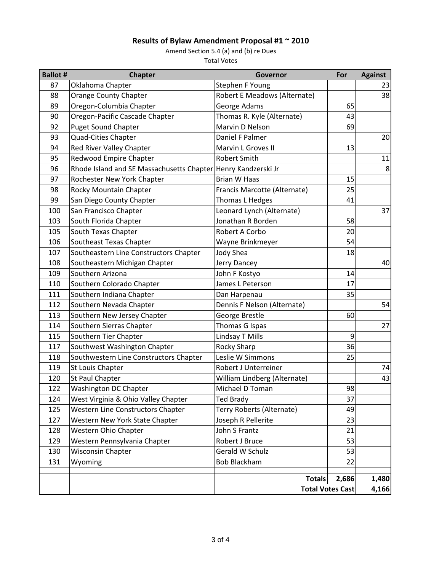| <b>Ballot #</b> | <b>Chapter</b>                                                  | Governor                     | For                     | <b>Against</b> |
|-----------------|-----------------------------------------------------------------|------------------------------|-------------------------|----------------|
| 87              | Oklahoma Chapter                                                | Stephen F Young              |                         | 23             |
| 88              | <b>Orange County Chapter</b>                                    | Robert E Meadows (Alternate) |                         | 38             |
| 89              | Oregon-Columbia Chapter                                         | George Adams                 | 65                      |                |
| 90              | Oregon-Pacific Cascade Chapter                                  | Thomas R. Kyle (Alternate)   | 43                      |                |
| 92              | <b>Puget Sound Chapter</b>                                      | Marvin D Nelson              | 69                      |                |
| 93              | <b>Quad-Cities Chapter</b>                                      | Daniel F Palmer              |                         | 20             |
| 94              | Red River Valley Chapter                                        | Marvin L Groves II           | 13                      |                |
| 95              | Redwood Empire Chapter                                          | Robert Smith                 |                         | 11             |
| 96              | Rhode Island and SE Massachusetts Chapter   Henry Kandzerski Jr |                              |                         | 8              |
| 97              | Rochester New York Chapter                                      | <b>Brian W Haas</b>          | 15                      |                |
| 98              | Rocky Mountain Chapter                                          | Francis Marcotte (Alternate) | 25                      |                |
| 99              | San Diego County Chapter                                        | Thomas L Hedges              | 41                      |                |
| 100             | San Francisco Chapter                                           | Leonard Lynch (Alternate)    |                         | 37             |
| 103             | South Florida Chapter                                           | Jonathan R Borden            | 58                      |                |
| 105             | South Texas Chapter                                             | Robert A Corbo               | 20                      |                |
| 106             | Southeast Texas Chapter                                         | Wayne Brinkmeyer             | 54                      |                |
| 107             | Southeastern Line Constructors Chapter                          | <b>Jody Shea</b>             | 18                      |                |
| 108             | Southeastern Michigan Chapter                                   | Jerry Dancey                 |                         | 40             |
| 109             | Southern Arizona                                                | John F Kostyo                | 14                      |                |
| 110             | Southern Colorado Chapter                                       | James L Peterson             | 17                      |                |
| 111             | Southern Indiana Chapter                                        | Dan Harpenau                 | 35                      |                |
| 112             | Southern Nevada Chapter                                         | Dennis F Nelson (Alternate)  |                         | 54             |
| 113             | Southern New Jersey Chapter                                     | George Brestle               | 60                      |                |
| 114             | Southern Sierras Chapter                                        | Thomas G Ispas               |                         | 27             |
| 115             | Southern Tier Chapter                                           | Lindsay T Mills              | 9                       |                |
| 117             | Southwest Washington Chapter                                    | Rocky Sharp                  | 36                      |                |
| 118             | Southwestern Line Constructors Chapter                          | Leslie W Simmons             | 25                      |                |
| 119             | St Louis Chapter                                                | Robert J Unterreiner         |                         | 74             |
| 120             | St Paul Chapter                                                 | William Lindberg (Alternate) |                         | 43             |
| 122             | Washington DC Chapter                                           | Michael D Toman              | 98                      |                |
| 124             | West Virginia & Ohio Valley Chapter                             | <b>Ted Brady</b>             | 37                      |                |
| 125             | Western Line Constructors Chapter                               | Terry Roberts (Alternate)    | 49                      |                |
| 127             | Western New York State Chapter                                  | Joseph R Pellerite           | 23                      |                |
| 128             | Western Ohio Chapter                                            | John S Frantz                | 21                      |                |
| 129             | Western Pennsylvania Chapter                                    | Robert J Bruce               | 53                      |                |
| 130             | Wisconsin Chapter                                               | Gerald W Schulz              | 53                      |                |
| 131             | Wyoming                                                         | <b>Bob Blackham</b>          | 22                      |                |
|                 |                                                                 | <b>Totals</b>                | 2,686                   | 1,480          |
|                 |                                                                 |                              | <b>Total Votes Cast</b> | 4,166          |